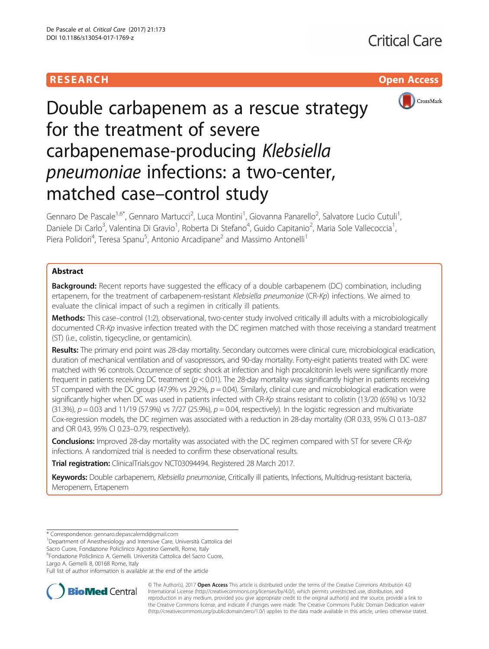# **RESEARCH CHILD CONTROL** CONTROL CONTROL CONTROL CONTROL CONTROL CONTROL CONTROL CONTROL CONTROL CONTROL CONTROL CONTROL CONTROL CONTROL CONTROL CONTROL CONTROL CONTROL CONTROL CONTROL CONTROL CONTROL CONTROL CONTROL CONTR



# Double carbapenem as a rescue strategy for the treatment of severe carbapenemase-producing Klebsiella pneumoniae infections: a two-center, matched case–control study

Gennaro De Pascale<sup>1,6\*</sup>, Gennaro Martucci<sup>2</sup>, Luca Montini<sup>1</sup>, Giovanna Panarello<sup>2</sup>, Salvatore Lucio Cutuli<sup>1</sup> , Daniele Di Carlo<sup>3</sup>, Valentina Di Gravio<sup>1</sup>, Roberta Di Stefano<sup>4</sup>, Guido Capitanio<sup>2</sup>, Maria Sole Vallecoccia<sup>1</sup> , Piera Polidori<sup>4</sup>, Teresa Spanu<sup>5</sup>, Antonio Arcadipane<sup>2</sup> and Massimo Antonelli<sup>1</sup>

# Abstract

**Background:** Recent reports have suggested the efficacy of a double carbapenem (DC) combination, including ertapenem, for the treatment of carbapenem-resistant Klebsiella pneumoniae (CR-Kp) infections. We aimed to evaluate the clinical impact of such a regimen in critically ill patients.

Methods: This case–control (1:2), observational, two-center study involved critically ill adults with a microbiologically documented CR-Kp invasive infection treated with the DC regimen matched with those receiving a standard treatment (ST) (i.e., colistin, tigecycline, or gentamicin).

Results: The primary end point was 28-day mortality. Secondary outcomes were clinical cure, microbiological eradication, duration of mechanical ventilation and of vasopressors, and 90-day mortality. Forty-eight patients treated with DC were matched with 96 controls. Occurrence of septic shock at infection and high procalcitonin levels were significantly more frequent in patients receiving DC treatment  $(p < 0.01)$ . The 28-day mortality was significantly higher in patients receiving ST compared with the DC group (47.9% vs 29.2%,  $p = 0.04$ ). Similarly, clinical cure and microbiological eradication were significantly higher when DC was used in patients infected with CR-Kp strains resistant to colistin (13/20 (65%) vs 10/32 (31.3%),  $p = 0.03$  and 11/19 (57.9%) vs 7/27 (25.9%),  $p = 0.04$ , respectively). In the logistic regression and multivariate Cox-regression models, the DC regimen was associated with a reduction in 28-day mortality (OR 0.33, 95% CI 0.13–0.87 and OR 0.43, 95% CI 0.23–0.79, respectively).

**Conclusions:** Improved 28-day mortality was associated with the DC regimen compared with ST for severe CR-Kp infections. A randomized trial is needed to confirm these observational results.

Trial registration: ClinicalTrials.gov [NCT03094494](https://clinicaltrials.gov/ct2/show/NCT03094494?term=NCT03094494&rank=1). Registered 28 March 2017.

Keywords: Double carbapenem, Klebsiella pneumoniae, Critically ill patients, Infections, Multidrug-resistant bacteria, Meropenem, Ertapenem

<sup>1</sup>Department of Anesthesiology and Intensive Care, Università Cattolica del

Sacro Cuore, Fondazione Policlinico Agostino Gemelli, Rome, Italy 6 Fondazione Policlinico A. Gemelli. Università Cattolica del Sacro Cuore,

Largo A. Gemelli 8, 00168 Rome, Italy

Full list of author information is available at the end of the article



© The Author(s). 2017 **Open Access** This article is distributed under the terms of the Creative Commons Attribution 4.0 International License [\(http://creativecommons.org/licenses/by/4.0/](http://creativecommons.org/licenses/by/4.0/)), which permits unrestricted use, distribution, and reproduction in any medium, provided you give appropriate credit to the original author(s) and the source, provide a link to the Creative Commons license, and indicate if changes were made. The Creative Commons Public Domain Dedication waiver [\(http://creativecommons.org/publicdomain/zero/1.0/](http://creativecommons.org/publicdomain/zero/1.0/)) applies to the data made available in this article, unless otherwise stated.

<sup>\*</sup> Correspondence: [gennaro.depascalemd@gmail.com](mailto:gennaro.depascalemd@gmail.com) <sup>1</sup>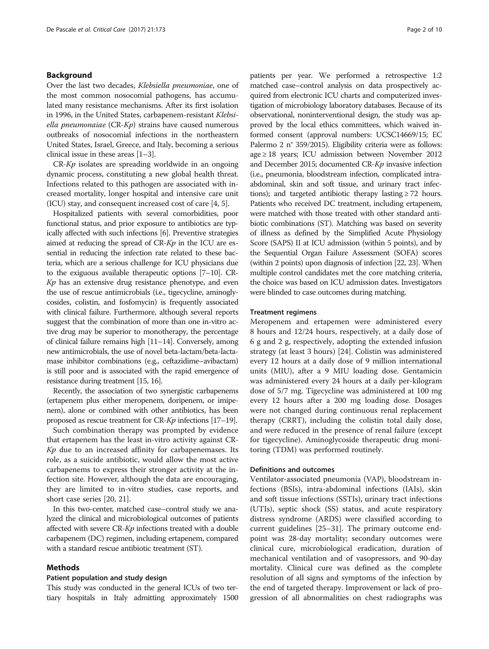# Background

Over the last two decades, Klebsiella pneumoniae, one of the most common nosocomial pathogens, has accumulated many resistance mechanisms. After its first isolation in 1996, in the United States, carbapenem-resistant Klebsiella pneumonaiae  $(CR-Kp)$  strains have caused numerous outbreaks of nosocomial infections in the northeastern United States, Israel, Greece, and Italy, becoming a serious clinical issue in these areas [\[1](#page-8-0)–[3\]](#page-8-0).

 $CR$ - $Kp$  isolates are spreading worldwide in an ongoing dynamic process, constituting a new global health threat. Infections related to this pathogen are associated with increased mortality, longer hospital and intensive care unit (ICU) stay, and consequent increased cost of care [\[4](#page-8-0), [5](#page-8-0)].

Hospitalized patients with several comorbidities, poor functional status, and prior exposure to antibiotics are typically affected with such infections [[6\]](#page-8-0). Preventive strategies aimed at reducing the spread of  $CR$ - $Kp$  in the ICU are essential in reducing the infection rate related to these bacteria, which are a serious challenge for ICU physicians due to the exiguous available therapeutic options [\[7](#page-8-0)–[10\]](#page-8-0). CR- $Kp$  has an extensive drug resistance phenotype, and even the use of rescue antimicrobials (i.e., tigecycline, aminoglycosides, colistin, and fosfomycin) is frequently associated with clinical failure. Furthermore, although several reports suggest that the combination of more than one in-vitro active drug may be superior to monotherapy, the percentage of clinical failure remains high [[11](#page-8-0)–[14](#page-9-0)]. Conversely, among new antimicrobials, the use of novel beta-lactam/beta-lactamase inhibitor combinations (e.g., ceftazidime–avibactam) is still poor and is associated with the rapid emergence of resistance during treatment [[15](#page-9-0), [16](#page-9-0)].

Recently, the association of two synergistic carbapenems (ertapenem plus either meropenem, doripenem, or imipenem), alone or combined with other antibiotics, has been proposed as rescue treatment for CR-Kp infections [[17](#page-9-0)–[19](#page-9-0)].

Such combination therapy was prompted by evidence that ertapenem has the least in-vitro activity against CR- $Kp$  due to an increased affinity for carbapenemases. Its role, as a suicide antibiotic, would allow the most active carbapenems to express their stronger activity at the infection site. However, although the data are encouraging, they are limited to in-vitro studies, case reports, and short case series [\[20](#page-9-0), [21](#page-9-0)].

In this two-center, matched case–control study we analyzed the clinical and microbiological outcomes of patients affected with severe CR-Kp infections treated with a double carbapenem (DC) regimen, including ertapenem, compared with a standard rescue antibiotic treatment (ST).

#### Methods

# Patient population and study design

This study was conducted in the general ICUs of two tertiary hospitals in Italy admitting approximately 1500

patients per year. We performed a retrospective 1:2 matched case–control analysis on data prospectively acquired from electronic ICU charts and computerized investigation of microbiology laboratory databases. Because of its observational, noninterventional design, the study was approved by the local ethics committees, which waived informed consent (approval numbers: UCSC14669/15; EC Palermo 2 n° 359/2015). Eligibility criteria were as follows: age ≥ 18 years; ICU admission between November 2012 and December 2015; documented CR-Kp invasive infection (i.e., pneumonia, bloodstream infection, complicated intraabdominal, skin and soft tissue, and urinary tract infections); and targeted antibiotic therapy lasting  $\geq 72$  hours. Patients who received DC treatment, including ertapenem, were matched with those treated with other standard antibiotic combinations (ST). Matching was based on severity of illness as defined by the Simplified Acute Physiology Score (SAPS) II at ICU admission (within 5 points), and by the Sequential Organ Failure Assessment (SOFA) scores (within 2 points) upon diagnosis of infection [\[22, 23\]](#page-9-0). When multiple control candidates met the core matching criteria, the choice was based on ICU admission dates. Investigators were blinded to case outcomes during matching.

## Treatment regimens

Meropenem and ertapemen were administered every 8 hours and 12/24 hours, respectively, at a daily dose of 6 g and 2 g, respectively, adopting the extended infusion strategy (at least 3 hours) [[24\]](#page-9-0). Colistin was administered every 12 hours at a daily dose of 9 million international units (MIU), after a 9 MIU loading dose. Gentamicin was administered every 24 hours at a daily per-kilogram dose of 5/7 mg. Tigecycline was administered at 100 mg every 12 hours after a 200 mg loading dose. Dosages were not changed during continuous renal replacement therapy (CRRT), including the colistin total daily dose, and were reduced in the presence of renal failure (except for tigecycline). Aminoglycoside therapeutic drug monitoring (TDM) was performed routinely.

# Definitions and outcomes

Ventilator-associated pneumonia (VAP), bloodstream infections (BSIs), intra-abdominal infections (IAIs), skin and soft tissue infections (SSTIs), urinary tract infections (UTIs), septic shock (SS) status, and acute respiratory distress syndrome (ARDS) were classified according to current guidelines [[25](#page-9-0)–[31](#page-9-0)]. The primary outcome endpoint was 28-day mortality; secondary outcomes were clinical cure, microbiological eradication, duration of mechanical ventilation and of vasopressors, and 90-day mortality. Clinical cure was defined as the complete resolution of all signs and symptoms of the infection by the end of targeted therapy. Improvement or lack of progression of all abnormalities on chest radiographs was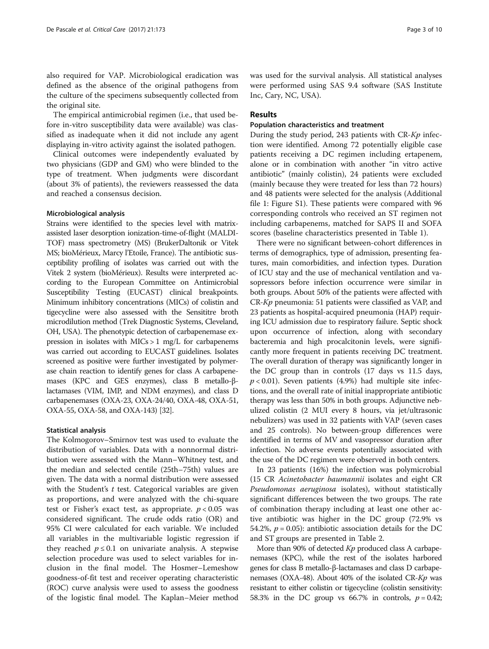also required for VAP. Microbiological eradication was defined as the absence of the original pathogens from the culture of the specimens subsequently collected from the original site.

The empirical antimicrobial regimen (i.e., that used before in-vitro susceptibility data were available) was classified as inadequate when it did not include any agent displaying in-vitro activity against the isolated pathogen.

Clinical outcomes were independently evaluated by two physicians (GDP and GM) who were blinded to the type of treatment. When judgments were discordant (about 3% of patients), the reviewers reassessed the data and reached a consensus decision.

# Microbiological analysis

Strains were identified to the species level with matrixassisted laser desorption ionization-time-of-flight (MALDI-TOF) mass spectrometry (MS) (BrukerDaltonik or Vitek MS; bioMérieux, Marcy l'Etoile, France). The antibiotic susceptibility profiling of isolates was carried out with the Vitek 2 system (bioMérieux). Results were interpreted according to the European Committee on Antimicrobial Susceptibility Testing (EUCAST) clinical breakpoints. Minimum inhibitory concentrations (MICs) of colistin and tigecycline were also assessed with the Sensititre broth microdilution method (Trek Diagnostic Systems, Cleveland, OH, USA). The phenotypic detection of carbapenemase expression in isolates with  $MICs > 1$  mg/L for carbapenems was carried out according to EUCAST guidelines. Isolates screened as positive were further investigated by polymerase chain reaction to identify genes for class A carbapenemases (KPC and GES enzymes), class B metallo-βlactamases (VIM, IMP, and NDM enzymes), and class D carbapenemases (OXA-23, OXA-24/40, OXA-48, OXA-51, OXA-55, OXA-58, and OXA-143) [\[32\]](#page-9-0).

# Statistical analysis

The Kolmogorov–Smirnov test was used to evaluate the distribution of variables. Data with a nonnormal distribution were assessed with the Mann–Whitney test, and the median and selected centile (25th–75th) values are given. The data with a normal distribution were assessed with the Student's  $t$  test. Categorical variables are given as proportions, and were analyzed with the chi-square test or Fisher's exact test, as appropriate.  $p < 0.05$  was considered significant. The crude odds ratio (OR) and 95% CI were calculated for each variable. We included all variables in the multivariable logistic regression if they reached  $p \leq 0.1$  on univariate analysis. A stepwise selection procedure was used to select variables for inclusion in the final model. The Hosmer–Lemeshow goodness-of-fit test and receiver operating characteristic (ROC) curve analysis were used to assess the goodness of the logistic final model. The Kaplan–Meier method was used for the survival analysis. All statistical analyses were performed using SAS 9.4 software (SAS Institute Inc, Cary, NC, USA).

# Results

# Population characteristics and treatment

During the study period, 243 patients with  $CR$ - $Kp$  infection were identified. Among 72 potentially eligible case patients receiving a DC regimen including ertapenem, alone or in combination with another "in vitro active antibiotic" (mainly colistin), 24 patients were excluded (mainly because they were treated for less than 72 hours) and 48 patients were selected for the analysis (Additional file [1](#page-8-0): Figure S1). These patients were compared with 96 corresponding controls who received an ST regimen not including carbapenems, matched for SAPS II and SOFA scores (baseline characteristics presented in Table [1](#page-3-0)).

There were no significant between-cohort differences in terms of demographics, type of admission, presenting features, main comorbidities, and infection types. Duration of ICU stay and the use of mechanical ventilation and vasopressors before infection occurrence were similar in both groups. About 50% of the patients were affected with CR-Kp pneumonia: 51 patients were classified as VAP, and 23 patients as hospital-acquired pneumonia (HAP) requiring ICU admission due to respiratory failure. Septic shock upon occurrence of infection, along with secondary bacteremia and high procalcitonin levels, were significantly more frequent in patients receiving DC treatment. The overall duration of therapy was significantly longer in the DC group than in controls (17 days vs 11.5 days,  $p < 0.01$ ). Seven patients (4.9%) had multiple site infections, and the overall rate of initial inappropriate antibiotic therapy was less than 50% in both groups. Adjunctive nebulized colistin (2 MUI every 8 hours, via jet/ultrasonic nebulizers) was used in 32 patients with VAP (seven cases and 25 controls). No between-group differences were identified in terms of MV and vasopressor duration after infection. No adverse events potentially associated with the use of the DC regimen were observed in both centers.

In 23 patients (16%) the infection was polymicrobial (15 CR Acinetobacter baumannii isolates and eight CR Pseudomonas aeruginosa isolates), without statistically significant differences between the two groups. The rate of combination therapy including at least one other active antibiotic was higher in the DC group (72.9% vs 54.2%,  $p = 0.05$ : antibiotic association details for the DC and ST groups are presented in Table [2.](#page-4-0)

More than 90% of detected  $Kp$  produced class A carbapenemases (KPC), while the rest of the isolates harbored genes for class B metallo-β-lactamases and class D carbapenemases (OXA-48). About 40% of the isolated  $CR\text{-}Kp$  was resistant to either colistin or tigecycline (colistin sensitivity: 58.3% in the DC group vs 66.7% in controls,  $p = 0.42$ ;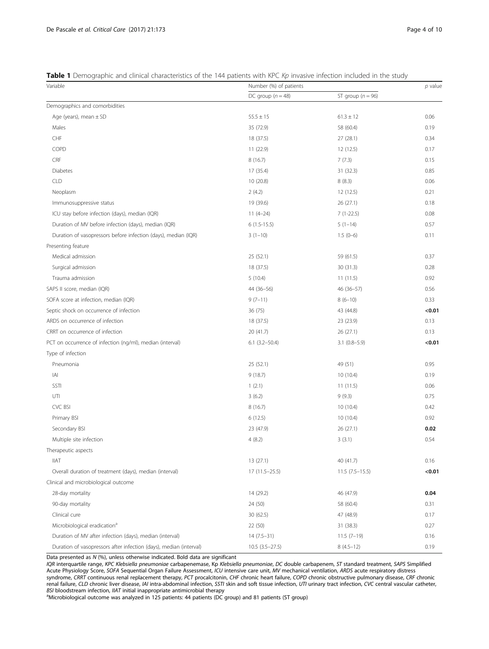# <span id="page-3-0"></span>Table 1 Demographic and clinical characteristics of the 144 patients with KPC Kp invasive infection included in the study

| Variable                                                           | Number (%) of patients | $p$ value           |        |
|--------------------------------------------------------------------|------------------------|---------------------|--------|
|                                                                    | DC group $(n = 48)$    | ST group $(n = 96)$ |        |
| Demographics and comorbidities                                     |                        |                     |        |
| Age (years), mean $\pm$ SD                                         | $55.5 \pm 15$          | $61.3 \pm 12$       | 0.06   |
| Males                                                              | 35 (72.9)              | 58 (60.4)           | 0.19   |
| CHF                                                                | 18 (37.5)              | 27 (28.1)           | 0.34   |
| COPD                                                               | 11 (22.9)              | 12 (12.5)           | 0.17   |
| CRF                                                                | 8(16.7)                | 7(7.3)              | 0.15   |
| Diabetes                                                           | 17 (35.4)              | 31 (32.3)           | 0.85   |
| <b>CLD</b>                                                         | 10(20.8)               | 8(8.3)              | 0.06   |
| Neoplasm                                                           | 2(4.2)                 | 12 (12.5)           | 0.21   |
| Immunosuppressive status                                           | 19 (39.6)              | 26 (27.1)           | 0.18   |
| ICU stay before infection (days), median (IQR)                     | $11(4-24)$             | $7(1-22.5)$         | 0.08   |
| Duration of MV before infection (days), median (IQR)               | $6(1.5-15.5)$          | $5(1-14)$           | 0.57   |
| Duration of vasopressors before infection (days), median (IQR)     | $3(1-10)$              | $1.5(0-6)$          | 0.11   |
| Presenting feature                                                 |                        |                     |        |
| Medical admission                                                  | 25 (52.1)              | 59 (61.5)           | 0.37   |
| Surgical admission                                                 | 18 (37.5)              | 30 (31.3)           | 0.28   |
| Trauma admission                                                   | 5(10.4)                | 11(11.5)            | 0.92   |
| SAPS II score, median (IQR)                                        | 44 (36-56)             | 46 (36-57)          | 0.56   |
| SOFA score at infection, median (IQR)                              | $9(7-11)$              | $8(6-10)$           | 0.33   |
| Septic shock on occurrence of infection                            | 36(75)                 | 43 (44.8)           | < 0.01 |
| ARDS on occurrence of infection                                    | 18 (37.5)              | 23 (23.9)           | 0.13   |
| CRRT on occurrence of infection                                    | 20 (41.7)              | 26 (27.1)           | 0.13   |
| PCT on occurrence of infection (ng/ml), median (interval)          | $6.1$ $(3.2 - 50.4)$   | $3.1(0.8 - 5.9)$    | < 0.01 |
| Type of infection                                                  |                        |                     |        |
| Pneumonia                                                          | 25(52.1)               | 49 (51)             | 0.95   |
| IAI                                                                | 9(18.7)                | 10 (10.4)           | 0.19   |
| SSTI                                                               | 1(2.1)                 | 11(11.5)            | 0.06   |
| UTI                                                                | 3(6.2)                 | 9(9.3)              | 0.75   |
| CVC BSI                                                            | 8(16.7)                | 10(10.4)            | 0.42   |
| Primary BSI                                                        | 6(12.5)                | 10(10.4)            | 0.92   |
| Secondary BSI                                                      | 23 (47.9)              | 26 (27.1)           | 0.02   |
| Multiple site infection                                            | 4(8.2)                 | 3(3.1)              | 0.54   |
| Therapeutic aspects                                                |                        |                     |        |
| <b>IIAT</b>                                                        | 13 (27.1)              | 40 (41.7)           | 0.16   |
| Overall duration of treatment (days), median (interval)            | $17(11.5-25.5)$        | $11.5(7.5-15.5)$    | < 0.01 |
| Clinical and microbiological outcome                               |                        |                     |        |
| 28-day mortality                                                   | 14 (29.2)              | 46 (47.9)           | 0.04   |
| 90-day mortality                                                   | 24 (50)                | 58 (60.4)           | 0.31   |
| Clinical cure                                                      | 30(62.5)               | 47 (48.9)           | 0.17   |
| Microbiological eradication <sup>a</sup>                           | 22(50)                 | 31 (38.3)           | 0.27   |
| Duration of MV after infection (days), median (interval)           | $14(7.5-31)$           | $11.5(7-19)$        | 0.16   |
| Duration of vasopressors after infection (days), median (interval) | $10.5(3.5-27.5)$       | $8(4.5-12)$         | 0.19   |

Data presented as N (%), unless otherwise indicated. Bold data are significant

IQR interquartile range, KPC Klebsiella pneumoniae carbapenemase, Kp Klebsiella pneumoniae, DC double carbapenem, ST standard treatment, SAPS Simplified Acute Physiology Score, SOFA Sequential Organ Failure Assessment, ICU intensive care unit, MV mechanical ventilation, ARDS acute respiratory distress syndrome, CRRT continuous renal replacement therapy, PCT procalcitonin, CHF chronic heart failure, COPD chronic obstructive pulmonary disease, CRF chronic renal failure, CLD chronic liver disease, IAI intra-abdominal infection, SSTI skin and soft tissue infection, UTI urinary tract infection, CVC central vascular catheter, BSI bloodstream infection, IIAT initial inappropriate antimicrobial therapy

<sup>a</sup>Microbiological outcome was analyzed in 125 patients: 44 patients (DC group) and 81 patients (ST group)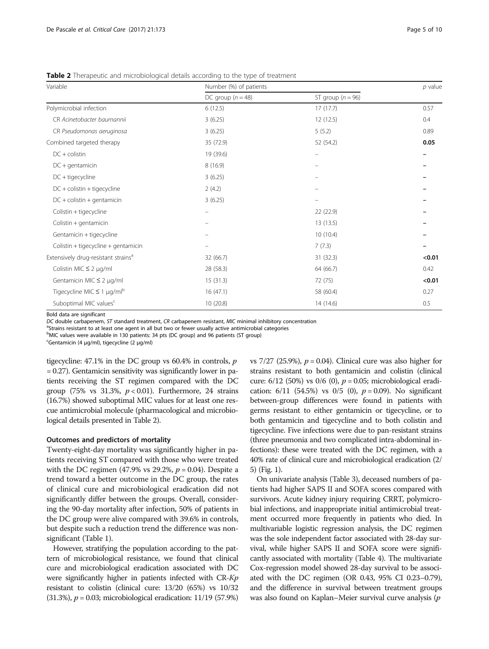| Variable                                        | Number (%) of patients |                       | p value |
|-------------------------------------------------|------------------------|-----------------------|---------|
|                                                 | DC group $(n = 48)$    | ST group ( $n = 96$ ) |         |
| Polymicrobial infection                         | 6(12.5)                | 17(17.7)              | 0.57    |
| CR Acinetobacter baumannii                      | 3(6.25)                | 12(12.5)              | 0.4     |
| CR Pseudomonas aeruginosa                       | 3(6.25)                | 5(5.2)                | 0.89    |
| Combined targeted therapy                       | 35 (72.9)              | 52 (54.2)             | 0.05    |
| $DC + colistin$                                 | 19 (39.6)              | -                     |         |
| $DC + q$ entamicin                              | 8(16.9)                |                       |         |
| DC + tigecycline                                | 3(6.25)                |                       |         |
| DC + colistin + tigecycline                     | 2(4.2)                 |                       |         |
| $DC + colistin + gentamicin$                    | 3(6.25)                |                       |         |
| Colistin + tigecycline                          |                        | 22 (22.9)             |         |
| Colistin + gentamicin                           |                        | 13(13.5)              |         |
| Gentamicin + tigecycline                        |                        | 10(10.4)              |         |
| Colistin + tigecycline + gentamicin             |                        | 7(7.3)                |         |
| Extensively drug-resistant strains <sup>a</sup> | 32 (66.7)              | 31(32.3)              | < 0.01  |
| Colistin MIC $\leq$ 2 $\mu$ g/ml                | 28 (58.3)              | 64 (66.7)             | 0.42    |
| Gentamicin MIC $\leq$ 2 µg/ml                   | 15(31.3)               | 72 (75)               | < 0.01  |
| Tigecycline MIC $\leq$ 1 µg/ml <sup>b</sup>     | 16(47.1)               | 58 (60.4)             | 0.27    |
| Suboptimal MIC values <sup>c</sup>              | 10 (20.8)              | 14 (14.6)             | 0.5     |

<span id="page-4-0"></span>Table 2 Therapeutic and microbiological details according to the type of treatment

Bold data are significant

DC double carbapenem, ST standard treatment, CR carbapenem resistant, MIC minimal inhibitory concentration

<sup>a</sup>Strains resistant to at least one agent in all but two or fewer usually active antimicrobial categories

<sup>b</sup>MIC values were available in 130 patients: 34 pts (DC group) and 96 patients (ST group)

<sup>c</sup>Gentamicin (4 μg/ml), tigecycline (2 μg/ml)

tigecycline: 47.1% in the DC group vs  $60.4\%$  in controls,  $p$  $= 0.27$ ). Gentamicin sensitivity was significantly lower in patients receiving the ST regimen compared with the DC group (75% vs 31.3%,  $p < 0.01$ ). Furthermore, 24 strains (16.7%) showed suboptimal MIC values for at least one rescue antimicrobial molecule (pharmacological and microbiological details presented in Table 2).

# Outcomes and predictors of mortality

Twenty-eight-day mortality was significantly higher in patients receiving ST compared with those who were treated with the DC regimen (47.9% vs 29.2%,  $p = 0.04$ ). Despite a trend toward a better outcome in the DC group, the rates of clinical cure and microbiological eradication did not significantly differ between the groups. Overall, considering the 90-day mortality after infection, 50% of patients in the DC group were alive compared with 39.6% in controls, but despite such a reduction trend the difference was nonsignificant (Table [1](#page-3-0)).

However, stratifying the population according to the pattern of microbiological resistance, we found that clinical cure and microbiological eradication associated with DC were significantly higher in patients infected with CR-Kp resistant to colistin (clinical cure: 13/20 (65%) vs 10/32  $(31.3\%)$ ,  $p = 0.03$ ; microbiological eradication: 11/19 (57.9%) vs  $7/27$  (25.9%),  $p = 0.04$ ). Clinical cure was also higher for strains resistant to both gentamicin and colistin (clinical cure:  $6/12$  (50%) vs 0/6 (0),  $p = 0.05$ ; microbiological eradication:  $6/11$  (54.5%) vs  $0/5$  (0),  $p = 0.09$ ). No significant between-group differences were found in patients with germs resistant to either gentamicin or tigecycline, or to both gentamicin and tigecycline and to both colistin and tigecycline. Five infections were due to pan-resistant strains (three pneumonia and two complicated intra-abdominal infections): these were treated with the DC regimen, with a 40% rate of clinical cure and microbiological eradication (2/ 5) (Fig. [1](#page-5-0)).

On univariate analysis (Table [3](#page-6-0)), deceased numbers of patients had higher SAPS II and SOFA scores compared with survivors. Acute kidney injury requiring CRRT, polymicrobial infections, and inappropriate initial antimicrobial treatment occurred more frequently in patients who died. In multivariable logistic regression analysis, the DC regimen was the sole independent factor associated with 28-day survival, while higher SAPS II and SOFA score were significantly associated with mortality (Table [4\)](#page-7-0). The multivariate Cox-regression model showed 28-day survival to be associated with the DC regimen (OR 0.43, 95% CI 0.23–0.79), and the difference in survival between treatment groups was also found on Kaplan–Meier survival curve analysis (p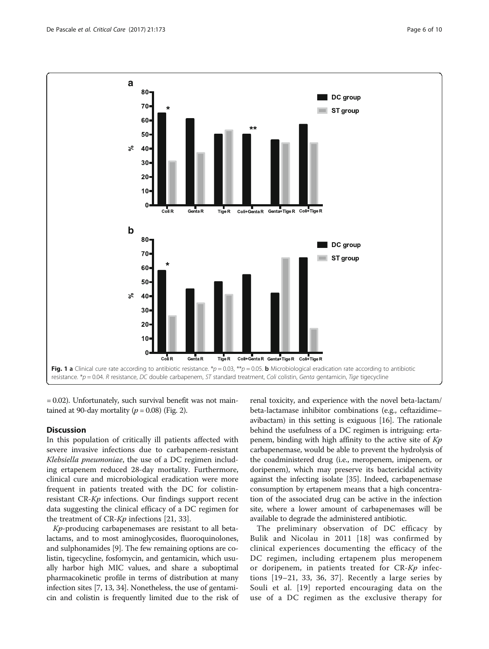<span id="page-5-0"></span>

 $= 0.02$ ). Unfortunately, such survival benefit was not maintained at 90-day mortality ( $p = 0.08$ ) (Fig. [2](#page-7-0)).

# Discussion

In this population of critically ill patients affected with severe invasive infections due to carbapenem-resistant Klebsiella pneumoniae, the use of a DC regimen including ertapenem reduced 28-day mortality. Furthermore, clinical cure and microbiological eradication were more frequent in patients treated with the DC for colistinresistant CR-Kp infections. Our findings support recent data suggesting the clinical efficacy of a DC regimen for the treatment of  $CR$ - $Kp$  infections [[21, 33\]](#page-9-0).

Kp-producing carbapenemases are resistant to all betalactams, and to most aminoglycosides, fluoroquinolones, and sulphonamides [[9\]](#page-8-0). The few remaining options are colistin, tigecycline, fosfomycin, and gentamicin, which usually harbor high MIC values, and share a suboptimal pharmacokinetic profile in terms of distribution at many infection sites [[7](#page-8-0), [13, 34](#page-9-0)]. Nonetheless, the use of gentamicin and colistin is frequently limited due to the risk of

renal toxicity, and experience with the novel beta-lactam/ beta-lactamase inhibitor combinations (e.g., ceftazidime– avibactam) in this setting is exiguous [\[16\]](#page-9-0). The rationale behind the usefulness of a DC regimen is intriguing: ertapenem, binding with high affinity to the active site of  $Kp$ carbapenemase, would be able to prevent the hydrolysis of the coadministered drug (i.e., meropenem, imipenem, or doripenem), which may preserve its bactericidal activity against the infecting isolate [[35\]](#page-9-0). Indeed, carbapenemase consumption by ertapenem means that a high concentration of the associated drug can be active in the infection site, where a lower amount of carbapenemases will be available to degrade the administered antibiotic.

The preliminary observation of DC efficacy by Bulik and Nicolau in 2011 [[18](#page-9-0)] was confirmed by clinical experiences documenting the efficacy of the DC regimen, including ertapenem plus meropenem or doripenem, in patients treated for CR-Kp infections [[19](#page-9-0)–[21, 33](#page-9-0), [36, 37\]](#page-9-0). Recently a large series by Souli et al. [[19](#page-9-0)] reported encouraging data on the use of a DC regimen as the exclusive therapy for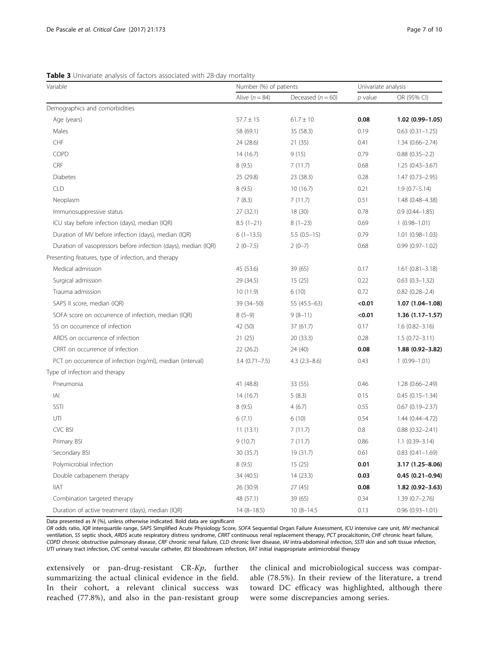<span id="page-6-0"></span>Table 3 Univariate analysis of factors associated with 28-day mortality

| Variable                                                       | Number (%) of patients |                     | Univariate analysis |                       |
|----------------------------------------------------------------|------------------------|---------------------|---------------------|-----------------------|
|                                                                | Alive $(n = 84)$       | Deceased $(n = 60)$ | $p$ value           | OR (95% CI)           |
| Demographics and comorbidities                                 |                        |                     |                     |                       |
| Age (years)                                                    | $57.7 \pm 15$          | $61.7 \pm 10$       | 0.08                | 1.02 (0.99-1.05)      |
| Males                                                          | 58 (69.1)              | 35 (58.3)           | 0.19                | $0.63(0.31-1.25)$     |
| CHF                                                            | 24 (28.6)              | 21 (35)             | 0.41                | $1.34(0.66 - 2.74)$   |
| COPD                                                           | 14(16.7)               | 9(15)               | 0.79                | $0.88(0.35 - 2.2)$    |
| CRF                                                            | 8(9.5)                 | 7(11.7)             | 0.68                | $1.25(0.43 - 3.67)$   |
| <b>Diabetes</b>                                                | 25 (29.8)              | 23 (38.3)           | 0.28                | $1.47(0.73 - 2.95)$   |
| <b>CLD</b>                                                     | 8(9.5)                 | 10(16.7)            | 0.21                | $1.9(0.7 - 5.14)$     |
| Neoplasm                                                       | 7(8.3)                 | 7(11.7)             | 0.51                | 1.48 (0.48-4.38)      |
| Immunosuppressive status                                       | 27 (32.1)              | 18 (30)             | 0.78                | $0.9(0.44 - 1.85)$    |
| ICU stay before infection (days), median (IQR)                 | $8.5(1-21)$            | $8(1-23)$           | 0.69                | $1(0.98 - 1.01)$      |
| Duration of MV before infection (days), median (IQR)           | $6(1-13.5)$            | $5.5(0.5-15)$       | 0.79                | $1.01(0.98 - 1.03)$   |
| Duration of vasopressors before infection (days), median (IQR) | $2(0-7.5)$             | $2(0-7)$            | 0.68                | $0.99(0.97 - 1.02)$   |
| Presenting features, type of infection, and therapy            |                        |                     |                     |                       |
| Medical admission                                              | 45 (53.6)              | 39 (65)             | 0.17                | $1.61(0.81 - 3.18)$   |
| Surgical admission                                             | 29 (34.5)              | 15 (25)             | 0.22                | $0.63(0.3-1.32)$      |
| Trauma admission                                               | 10(11.9)               | 6(10)               | 0.72                | $0.82$ $(0.28 - 2.4)$ |
| SAPS II score, median (IQR)                                    | 39 (34–50)             | $55(45.5-63)$       | < 0.01              | 1.07 (1.04-1.08)      |
| SOFA score on occurrence of infection, median (IQR)            | $8(5-9)$               | $9(8-11)$           | < 0.01              | $1.36(1.17-1.57)$     |
| SS on occurrence of infection                                  | 42 (50)                | 37 (61.7)           | 0.17                | $1.6(0.82 - 3.16)$    |
| ARDS on occurrence of infection                                | 21(25)                 | 20 (33.3)           | 0.28                | $1.5(0.72 - 3.11)$    |
| CRRT on occurrence of infection                                | 22 (26.2)              | 24 (40)             | 0.08                | 1.88 (0.92-3.82)      |
| PCT on occurrence of infection (ng/ml), median (interval)      | $3.4(0.71 - 7.5)$      | $4.3$ $(2.3-8.6)$   | 0.43                | $1(0.99 - 1.01)$      |
| Type of infection and therapy                                  |                        |                     |                     |                       |
| Pneumonia                                                      | 41 (48.8)              | 33 (55)             | 0.46                | $1.28(0.66 - 2.49)$   |
| <b>IAI</b>                                                     | 14(16.7)               | 5(8.3)              | 0.15                | $0.45(0.15-1.34)$     |
| SSTI                                                           | 8(9.5)                 | 4(6.7)              | 0.55                | $0.67(0.19 - 2.37)$   |
| UTI                                                            | 6(7.1)                 | 6(10)               | 0.54                | $1.44(0.44 - 4.72)$   |
| CVC BSI                                                        | 11(13.1)               | 7(11.7)             | 0.8                 | $0.88(0.32 - 2.41)$   |
| Primary BSI                                                    | 9(10.7)                | 7(11.7)             | 0.86                | $1.1(0.39 - 3.14)$    |
| Secondary BSI                                                  | 30 (35.7)              | 19 (31.7)           | 0.61                | $0.83(0.41-1.69)$     |
| Polymicrobial infection                                        | 8(9.5)                 | 15(25)              | 0.01                | 3.17 (1.25-8.06)      |
| Double carbapenem therapy                                      | 34 (40.5)              | 14(23.3)            | 0.03                | $0.45(0.21 - 0.94)$   |
| <b>IIAT</b>                                                    | 26 (30.9)              | 27(45)              | 0.08                | $1.82(0.92 - 3.63)$   |
| Combination targeted therapy                                   | 48 (57.1)              | 39 (65)             | 0.34                | $1.39(0.7 - 2.76)$    |
| Duration of active treatment (days), median (IQR)              | $14(8-18.5)$           | $10(8-14.5)$        | 0.13                | $0.96(0.93 - 1.01)$   |

Data presented as N (%), unless otherwise indicated. Bold data are significant

OR odds ratio, IQR interquartile range, SAPS Simplified Acute Physiology Score, SOFA Sequential Organ Failure Assessment, ICU intensive care unit, MV mechanical ventilation, SS septic shock, ARDS acute respiratory distress syndrome, CRRT continuous renal replacement therapy, PCT procalcitonin, CHF chronic heart failure, COPD chronic obstructive pulmonary disease, CRF chronic renal failure, CLD chronic liver disease, IAI intra-abdominal infection, SSTI skin and soft tissue infection, UTI urinary tract infection, CVC central vascular catheter, BSI bloodstream infection, IIAT initial inappropriate antimicrobial therapy

extensively or pan-drug-resistant CR-Kp, further summarizing the actual clinical evidence in the field. In their cohort, a relevant clinical success was reached (77.8%), and also in the pan-resistant group

the clinical and microbiological success was comparable (78.5%). In their review of the literature, a trend toward DC efficacy was highlighted, although there were some discrepancies among series.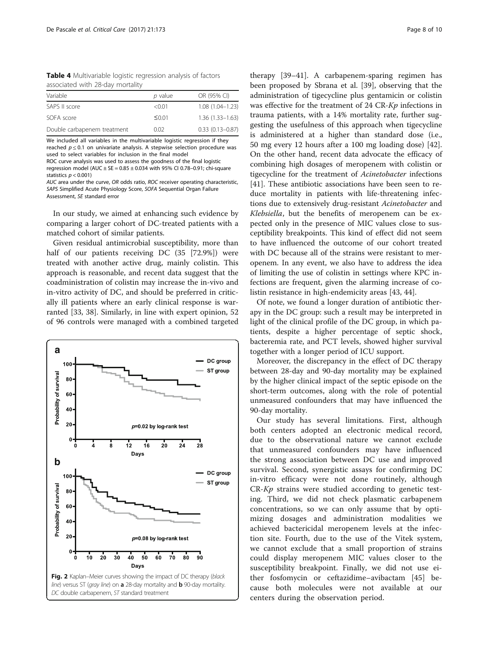<span id="page-7-0"></span>Table 4 Multivariable logistic regression analysis of factors associated with 28-day mortality

| Variable                    | p value     | OR (95% CI)         |
|-----------------------------|-------------|---------------------|
| SAPS II score               | < 0.01      | $1.08(1.04 - 1.23)$ |
| SOFA score                  | $\leq 0.01$ | $1.36(1.33 - 1.63)$ |
| Double carbapenem treatment | 0.02        | $0.33(0.13 - 0.87)$ |

We included all variables in the multivariable logistic regression if they reached  $p < 0.1$  on univariate analysis. A stepwise selection procedure was used to select variables for inclusion in the final model

ROC curve analysis was used to assess the goodness of the final logistic regression model (AUC  $\pm$  SE = 0.85  $\pm$  0.034 with 95% CI 0.78-0.91; chi-square statistics  $p < 0.001$ )

AUC area under the curve, OR odds ratio, ROC receiver operating characteristic, SAPS Simplified Acute Physiology Score, SOFA Sequential Organ Failure Assessment, SE standard error

In our study, we aimed at enhancing such evidence by comparing a larger cohort of DC-treated patients with a matched cohort of similar patients.

Given residual antimicrobial susceptibility, more than half of our patients receiving DC (35 [72.9%]) were treated with another active drug, mainly colistin. This approach is reasonable, and recent data suggest that the coadministration of colistin may increase the in-vivo and in-vitro activity of DC, and should be preferred in critically ill patients where an early clinical response is warranted [\[33](#page-9-0), [38](#page-9-0)]. Similarly, in line with expert opinion, 52 of 96 controls were managed with a combined targeted



therapy [[39](#page-9-0)–[41\]](#page-9-0). A carbapenem-sparing regimen has been proposed by Sbrana et al. [[39\]](#page-9-0), observing that the administration of tigecycline plus gentamicin or colistin was effective for the treatment of 24 CR-Kp infections in trauma patients, with a 14% mortality rate, further suggesting the usefulness of this approach when tigecycline is administered at a higher than standard dose (i.e., 50 mg every 12 hours after a 100 mg loading dose) [\[42](#page-9-0)]. On the other hand, recent data advocate the efficacy of combining high dosages of meropenem with colistin or tigecycline for the treatment of Acinetobacter infections [[41\]](#page-9-0). These antibiotic associations have been seen to reduce mortality in patients with life-threatening infections due to extensively drug-resistant Acinetobacter and Klebsiella, but the benefits of meropenem can be expected only in the presence of MIC values close to susceptibility breakpoints. This kind of effect did not seem to have influenced the outcome of our cohort treated with DC because all of the strains were resistant to meropenem. In any event, we also have to address the idea of limiting the use of colistin in settings where KPC infections are frequent, given the alarming increase of colistin resistance in high-endemicity areas [[43](#page-9-0), [44](#page-9-0)].

Of note, we found a longer duration of antibiotic therapy in the DC group: such a result may be interpreted in light of the clinical profile of the DC group, in which patients, despite a higher percentage of septic shock, bacteremia rate, and PCT levels, showed higher survival together with a longer period of ICU support.

Moreover, the discrepancy in the effect of DC therapy between 28-day and 90-day mortality may be explained by the higher clinical impact of the septic episode on the short-term outcomes, along with the role of potential unmeasured confounders that may have influenced the 90-day mortality.

Our study has several limitations. First, although both centers adopted an electronic medical record, due to the observational nature we cannot exclude that unmeasured confounders may have influenced the strong association between DC use and improved survival. Second, synergistic assays for confirming DC in-vitro efficacy were not done routinely, although  $CR$ - $Kp$  strains were studied according to genetic testing. Third, we did not check plasmatic carbapenem concentrations, so we can only assume that by optimizing dosages and administration modalities we achieved bactericidal meropenem levels at the infection site. Fourth, due to the use of the Vitek system, we cannot exclude that a small proportion of strains could display meropenem MIC values closer to the susceptibility breakpoint. Finally, we did not use either fosfomycin or ceftazidime–avibactam [[45\]](#page-9-0) because both molecules were not available at our centers during the observation period.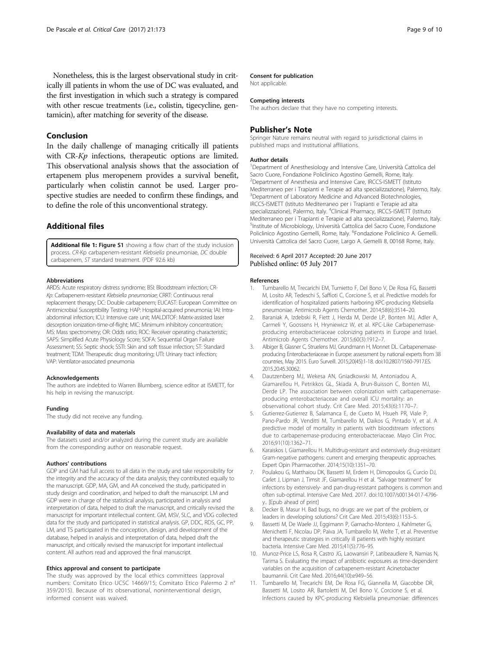<span id="page-8-0"></span>Nonetheless, this is the largest observational study in critically ill patients in whom the use of DC was evaluated, and the first investigation in which such a strategy is compared with other rescue treatments (i.e., colistin, tigecycline, gentamicin), after matching for severity of the disease.

# Conclusion

In the daily challenge of managing critically ill patients with  $CR$ - $Kp$  infections, therapeutic options are limited. This observational analysis shows that the association of ertapenem plus meropenem provides a survival benefit, particularly when colistin cannot be used. Larger prospective studies are needed to confirm these findings, and to define the role of this unconventional strategy.

# Additional files

[Additional file 1:](dx.doi.org/10.1186/s13054-017-1769-z) Figure S1 showing a flow chart of the study inclusion process. CR-Kp carbapenem-resistant Klebsiella pneumoniae, DC double carbapenem, ST standard treatment. (PDF 92.6 kb)

#### **Abbreviations**

ARDS: Acute respiratory distress syndrome; BSI: Bloodstream infection; CR-Kp: Carbapenem-resistant Klebsiella pneumoniae; CRRT: Continuous renal replacement therapy; DC: Double carbapenem; EUCAST: European Committee on Antimicrobial Susceptibility Testing; HAP: Hospital-acquired pneumonia; IAI: Intraabdominal infection; ICU: Intensive care unit; MALDITOF: Matrix-assisted laser desorption ionization-time-of-flight; MIC: Minimum inhibitory concentration; MS: Mass spectrometry; OR: Odds ratio; ROC: Receiver operating characteristic; SAPS: Simplified Acute Physiology Score; SOFA: Sequential Organ Failure Assessment; SS: Septic shock; SSTI: Skin and soft tissue infection; ST: Standard treatment; TDM: Therapeutic drug monitoring; UTI: Urinary tract infection; VAP: Ventilator-associated pneumonia

#### Acknowledgements

The authors are indebted to Warren Blumberg, science editor at ISMETT, for his help in revising the manuscript.

#### Funding

The study did not receive any funding.

#### Availability of data and materials

The datasets used and/or analyzed during the current study are available from the corresponding author on reasonable request.

#### Authors' contributions

GDP and GM had full access to all data in the study and take responsibility for the integrity and the accuracy of the data analysis; they contributed equally to the manuscript. GDP, MA, GM, and AA conceived the study, participated in study design and coordination, and helped to draft the manuscript. LM and GDP were in charge of the statistical analysis, participated in analysis and interpretation of data, helped to draft the manuscript, and critically revised the manuscript for important intellectual content. GM, MSV, SLC, and VDG collected data for the study and participated in statistical analysis. GP, DDC, RDS, GC, PP, LM, and TS participated in the conception, design, and development of the database, helped in analysis and interpretation of data, helped draft the manuscript, and critically revised the manuscript for important intellectual content. All authors read and approved the final manuscript.

#### Ethics approval and consent to participate

The study was approved by the local ethics committees (approval numbers: Comitato Etico UCSC 14669/15; Comitato Etico Palermo 2 n° 359/2015). Because of its observational, noninterventional design, informed consent was waived.

#### Consent for publication

Not applicable.

#### Competing interests

The authors declare that they have no competing interests.

# Publisher's Note

Springer Nature remains neutral with regard to jurisdictional claims in published maps and institutional affiliations.

## Author details

<sup>1</sup>Department of Anesthesiology and Intensive Care, Università Cattolica del Sacro Cuore, Fondazione Policlinico Agostino Gemelli, Rome, Italy. 2 Department of Anesthesia and Intensive Care, IRCCS-ISMETT (Istituto Mediterraneo per i Trapianti e Terapie ad alta specializzazione), Palermo, Italy. <sup>3</sup> Department of Laboratory Medicine and Advanced Biotechnologies, IRCCS-ISMETT (Istituto Mediterraneo per i Trapianti e Terapie ad alta specializzazione), Palermo, Italy. <sup>4</sup>Clinical Pharmacy, IRCCS-ISMETT (Istitutc Mediterraneo per i Trapianti e Terapie ad alta specializzazione), Palermo, Italy. 5 Institute of Microbiology, Università Cattolica del Sacro Cuore, Fondazione Policlinico Agostino Gemelli, Rome, Italy. <sup>6</sup>Fondazione Policlinico A. Gemelli Università Cattolica del Sacro Cuore, Largo A. Gemelli 8, 00168 Rome, Italy.

# Received: 6 April 2017 Accepted: 20 June 2017 Published online: 05 July 2017

#### References

- Tumbarello M, Trecarichi EM, Tumietto F, Del Bono V, De Rosa FG, Bassetti M, Losito AR, Tedeschi S, Saffioti C, Corcione S, et al. Predictive models for identification of hospitalized patients harboring KPC-producing Klebsiella pneumoniae. Antimicrob Agents Chemother. 2014;58(6):3514–20.
- 2. Baraniak A, Izdebski R, Fiett J, Herda M, Derde LP, Bonten MJ, Adler A, Carmeli Y, Goossens H, Hryniewicz W, et al. KPC-Like Carbapenemaseproducing enterobacteriaceae colonizing patients in Europe and Israel. Antimicrob Agents Chemother. 2015;60(3):1912–7.
- 3. Albiger B, Glasner C, Struelens MJ, Grundmann H, Monnet DL. Carbapenemaseproducing Enterobacteriaceae in Europe: assessment by national experts from 38 countries, May 2015. Euro Surveill. 2015;20(45):1-18. doi:[10.2807/1560-7917.ES.](http://dx.doi.org/10.2807/1560-7917.ES.2015.20.45.30062) [2015.20.45.30062.](http://dx.doi.org/10.2807/1560-7917.ES.2015.20.45.30062)
- 4. Dautzenberg MJ, Wekesa AN, Gniadkowski M, Antoniadou A, Giamarellou H, Petrikkos GL, Skiada A, Brun-Buisson C, Bonten MJ, Derde LP. The association between colonization with carbapenemaseproducing enterobacteriaceae and overall ICU mortality: an observational cohort study. Crit Care Med. 2015;43(6):1170–7.
- 5. Gutierrez-Gutierrez B, Salamanca E, de Cueto M, Hsueh PR, Viale P, Pano-Pardo JR, Venditti M, Tumbarello M, Daikos G, Pintado V, et al. A predictive model of mortality in patients with bloodstream infections due to carbapenemase-producing enterobacteriaceae. Mayo Clin Proc. 2016;91(10):1362–71.
- 6. Karaiskos I, Giamarellou H. Multidrug-resistant and extensively drug-resistant Gram-negative pathogens: current and emerging therapeutic approaches. Expert Opin Pharmacother. 2014;15(10):1351–70.
- 7. Poulakou G, Matthaiou DK, Bassetti M, Erdem H, Dimopoulos G, Curcio DJ, Carlet J, Lipman J, Timsit JF, Giamarellou H et al. "Salvage treatment" for infections by extensively- and pan-drug-resistant pathogens is common and often sub-optimal. Intensive Care Med. 2017. doi:[10.1007/s00134-017-4796](http://dx.doi.org/10.1007/s00134-017-4796-y) [y.](http://dx.doi.org/10.1007/s00134-017-4796-y). [Epub ahead of print]
- 8. Decker B, Masur H. Bad bugs, no drugs: are we part of the problem, or leaders in developing solutions? Crit Care Med. 2015;43(6):1153–5.
- Bassetti M, De Waele JJ, Eggimann P, Garnacho-Montero J, Kahlmeter G, Menichetti F, Nicolau DP, Paiva JA, Tumbarello M, Welte T, et al. Preventive and therapeutic strategies in critically ill patients with highly resistant bacteria. Intensive Care Med. 2015;41(5):776–95.
- 10. Munoz-Price LS, Rosa R, Castro JG, Laowansiri P, Latibeaudiere R, Namias N, Tarima S. Evaluating the impact of antibiotic exposures as time-dependent variables on the acquisition of carbapenem-resistant Acinetobacter baumannii. Crit Care Med. 2016;44(10):e949–56.
- 11. Tumbarello M, Trecarichi EM, De Rosa FG, Giannella M, Giacobbe DR, Bassetti M, Losito AR, Bartoletti M, Del Bono V, Corcione S, et al. Infections caused by KPC-producing Klebsiella pneumoniae: differences